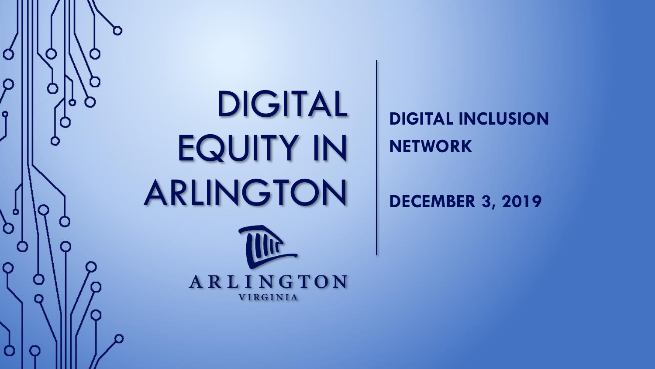

## DIGITAL EQUITY IN ARLINGTON

**DIGITAL INCLUSION NETWORK**

**DECEMBER 3, 2019**

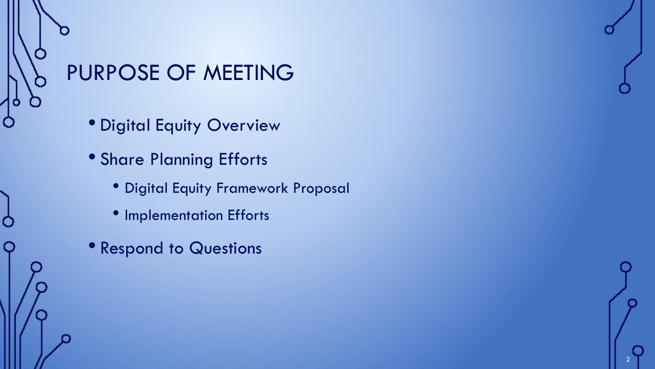# PURPOSE OF MEETING

O

- Digital Equity Overview
- Share Planning Efforts
	- Digital Equity Framework Proposal

- Implementation Efforts
- Respond to Questions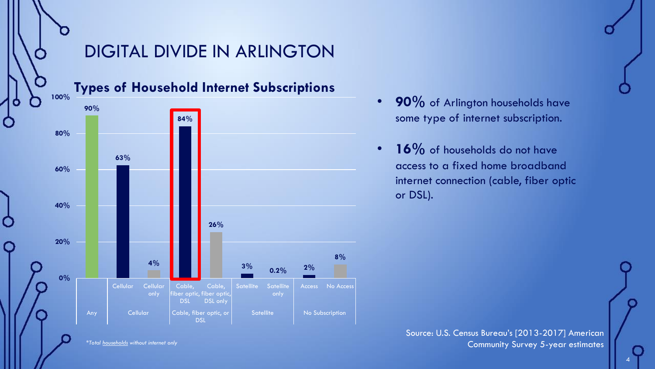

Source: U.S. Census Bureau's [2013-2017] American Community Survey 5-year estimates

*\*Total households without internet only*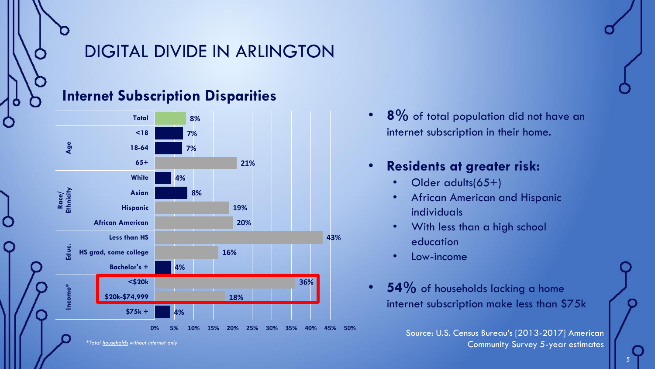

**8%** of total population did not have an internet subscription in their home.

#### • **Residents at greater risk:**

- Older adults(65+)
- African American and Hispanic individuals
- With less than a high school education
- Low-income
- **54%** of households lacking a home internet subscription make less than \$75k

Source: U.S. Census Bureau's [2013-2017] American Community Survey 5-year estimates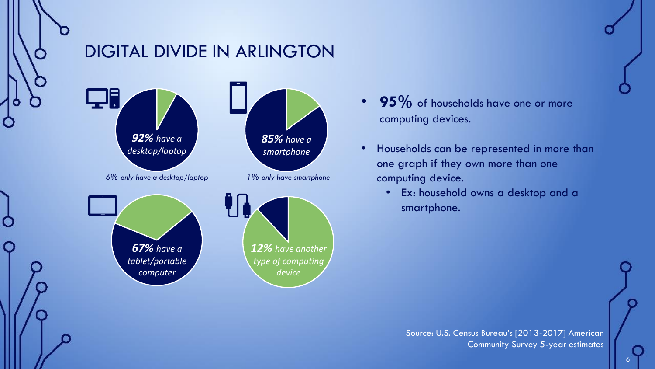

#### DIGITAL DIVIDE IN ARLINGTON



- 95% of households have one or more computing devices.
- Households can be represented in more than one graph if they own more than one computing device.
	- Ex: household owns a desktop and a smartphone.

Source: U.S. Census Bureau's [2013-2017] American Community Survey 5-year estimates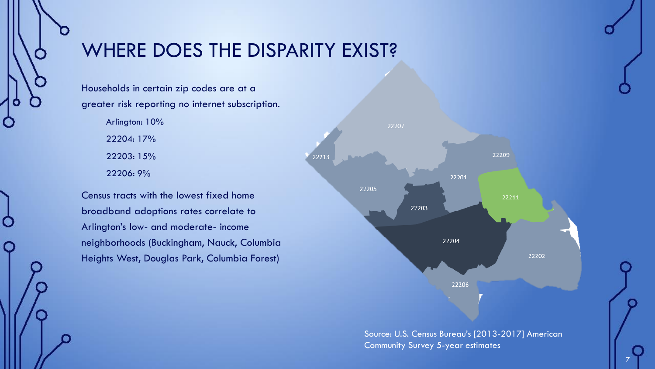

#### WHERE DOES THE DISPARITY EXIST?

Households in certain zip codes are at a greater risk reporting no internet subscription.

> Arlington: 10% 22204: 17% 22203: 15% 22206: 9%

Census tracts with the lowest fixed home broadband adoptions rates correlate to Arlington's low- and moderate- income neighborhoods (Buckingham, Nauck, Columbia Heights West, Douglas Park, Columbia Forest)



Source: U.S. Census Bureau's [2013-2017] American Community Survey 5-year estimates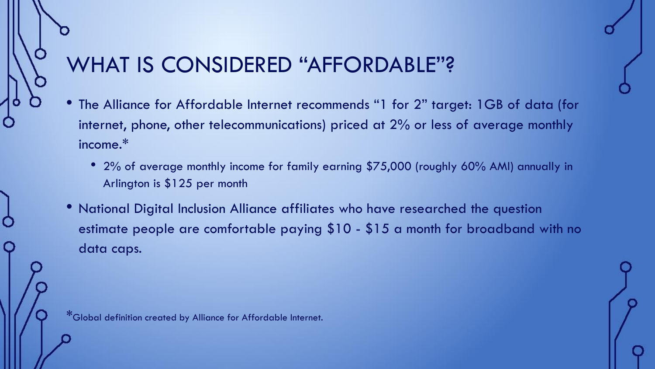#### WHAT IS CONSIDERED "AFFORDABLE"?

- The Alliance for Affordable Internet recommends "1 for 2" target: 1GB of data (for internet, phone, other telecommunications) priced at 2% or less of average monthly income.\*
	- 2% of average monthly income for family earning \$75,000 (roughly 60% AMI) annually in Arlington is \$125 per month
- National Digital Inclusion Alliance affiliates who have researched the question estimate people are comfortable paying \$10 - \$15 a month for broadband with no data caps.

\*Global definition created by Alliance for Affordable Internet.

Ò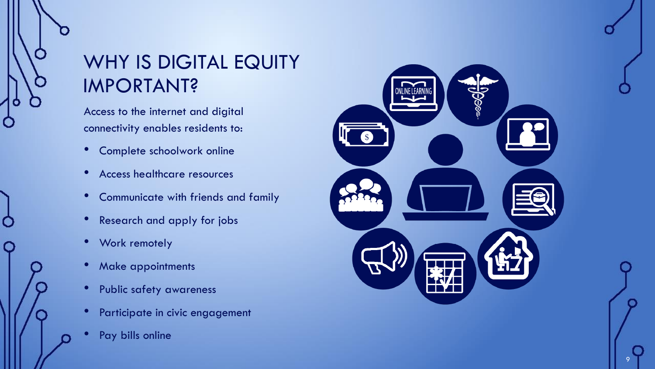#### WHY IS DIGITAL EQUITY IMPORTANT?

Access to the internet and digital connectivity enables residents to:

- Complete schoolwork online
- Access healthcare resources
- Communicate with friends and family
- Research and apply for jobs
- Work remotely

O

- Make appointments
- Public safety awareness
- Participate in civic engagement
- Pay bills online

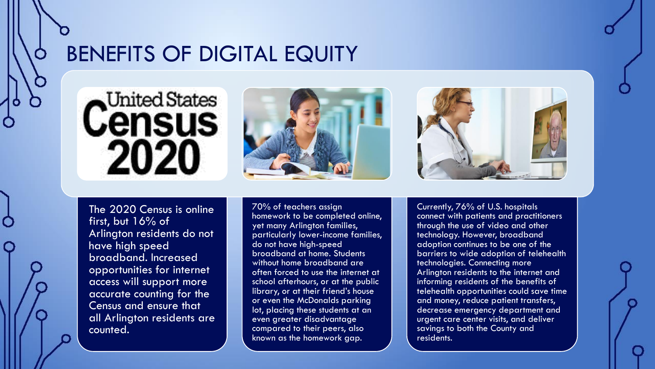#### BENEFITS OF DIGITAL EQUITY



O

۰





The 2020 Census is online first, but 16% of Arlington residents do not have high speed broadband. Increased opportunities for internet access will support more accurate counting for the Census and ensure that all Arlington residents are counted.

70% of teachers assign homework to be completed online, yet many Arlington families, particularly lower-income families, do not have high-speed broadband at home. Students without home broadband are often forced to use the internet at school afterhours, or at the public library, or at their friend's house or even the McDonalds parking lot, placing these students at an even greater disadvantage compared to their peers, also known as the homework gap.

Currently, 76% of U.S. hospitals connect with patients and practitioners through the use of video and other technology. However, broadband adoption continues to be one of the barriers to wide adoption of telehealth technologies. Connecting more Arlington residents to the internet and informing residents of the benefits of telehealth opportunities could save time and money, reduce patient transfers, decrease emergency department and urgent care center visits, and deliver savings to both the County and residents.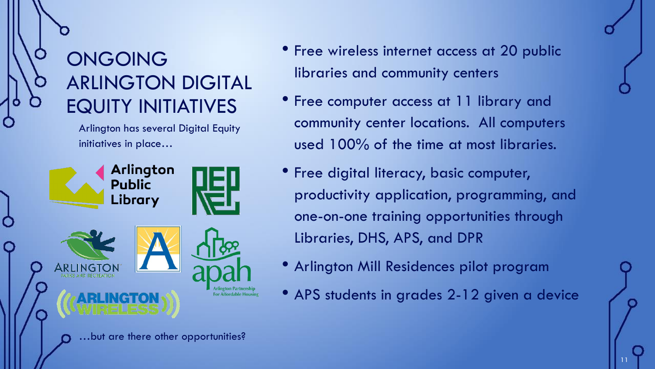#### ONGOING ARLINGTON DIGITAL EQUITY INITIATIVES

Arlington has several Digital Equity initiatives in place…



- Free wireless internet access at 20 public libraries and community centers
- Free computer access at 11 library and community center locations. All computers used 100% of the time at most libraries.
- Free digital literacy, basic computer, productivity application, programming, and one-on-one training opportunities through Libraries, DHS, APS, and DPR
- Arlington Mill Residences pilot program
- APS students in grades 2-12 given a device

11

...but are there other opportunities?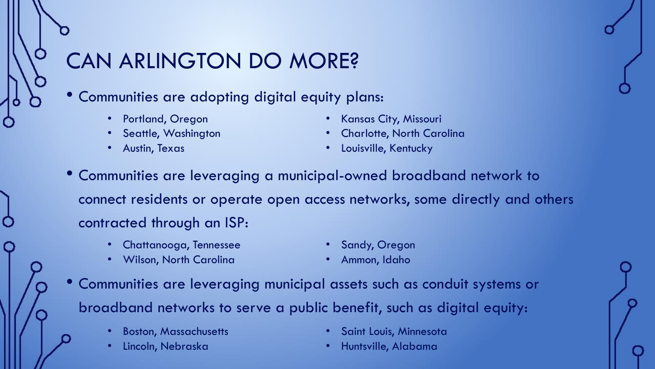#### CAN ARLINGTON DO MORE?

- Communities are adopting digital equity plans:
	- Portland, Oregon
	- Seattle, Washington
	- Austin, Texas
- Kansas City, Missouri
- Charlotte, North Carolina
- Louisville, Kentucky
- Communities are leveraging a municipal-owned broadband network to connect residents or operate open access networks, some directly and others contracted through an ISP:
	- Chattanooga, Tennessee

• Sandy, Oregon

• Wilson, North Carolina

- Ammon, Idaho
- Communities are leveraging municipal assets such as conduit systems or broadband networks to serve a public benefit, such as digital equity:
	- Boston, Massachusetts
	- Lincoln, Nebraska
- Saint Louis, Minnesota
- Huntsville, Alabama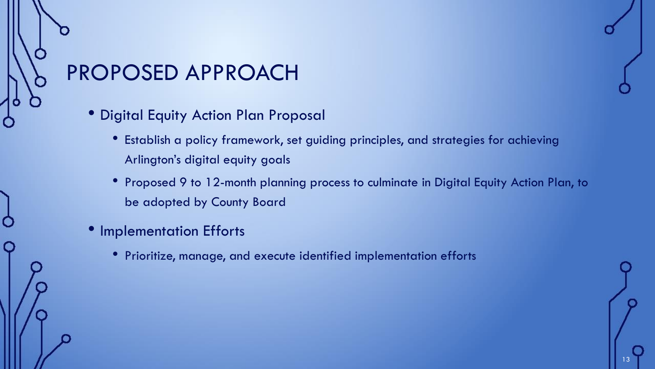#### PROPOSED APPROACH

- Digital Equity Action Plan Proposal
	- Establish a policy framework, set guiding principles, and strategies for achieving Arlington's digital equity goals
	- Proposed 9 to 12-month planning process to culminate in Digital Equity Action Plan, to be adopted by County Board
- Implementation Efforts

Ò

• Prioritize, manage, and execute identified implementation efforts

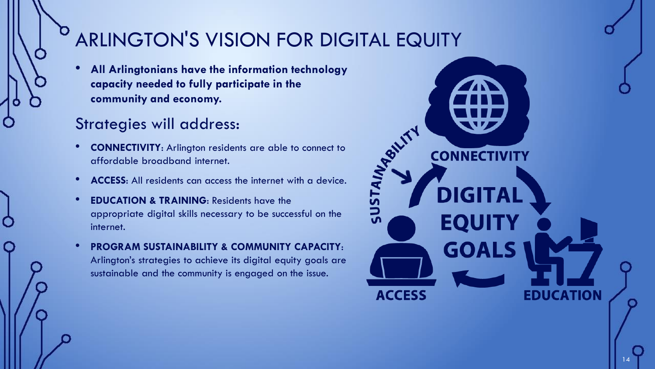### ARLINGTON'S VISION FOR DIGITAL EQUITY

• **All Arlingtonians have the information technology capacity needed to fully participate in the community and economy.**

#### Strategies will address:

- **CONNECTIVITY**: Arlington residents are able to connect to affordable broadband internet.
- **ACCESS**: All residents can access the internet with a device.
- **EDUCATION & TRAINING: Residents have the** appropriate digital skills necessary to be successful on the internet.
- **PROGRAM SUSTAINABILITY & COMMUNITY CAPACITY**: Arlington's strategies to achieve its digital equity goals are sustainable and the community is engaged on the issue.